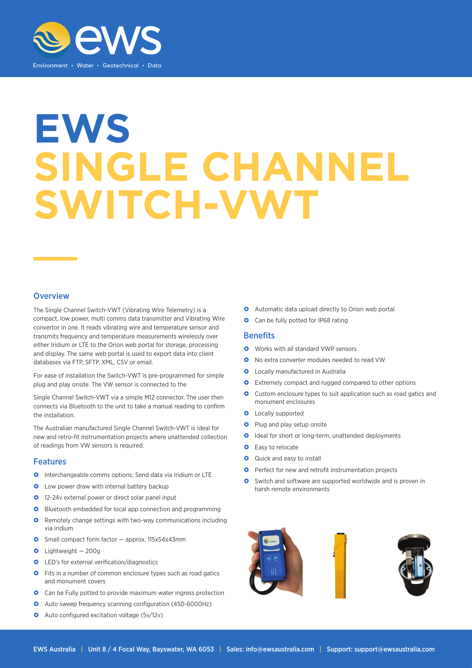

# **EWS SINGLE CHANNEL SWITCH-VWT**

### **Overview**

The Single Channel Switch-VWT (Vibrating Wire Telemetry) is a compact, low power, multi comms data transmitter and Vibrating Wire convertor in one. It reads vibrating wire and temperature sensor and transmits frequency and temperature measurements wirelessly over either Iridium or LTE to the Orion web portal for storage, processing and display. The same web portal is used to export data into client databases via FTP, SFTP, XML, CSV or email.

For ease of installation the Switch-VWT is pre-programmed for simple plug and play onsite. The VW sensor is connected to the

Single Channel Switch-VWT via a simple M12 connector. The user then connects via Bluetooth to the unit to take a manual reading to confirm the installation.

The Australian manufactured Single Channel Switch-VWT is ideal for new and retro-fit instrumentation projects where unattended collection of readings from VW sensors is required.

#### Features

- **O** Interchangeable comms options: Send data via Iridium or LTF
- **O** Low power draw with internal battery backup
- **0** 12-24v external power or direct solar panel input
- **O** Bluetooth embedded for local app connection and programming
- **O** Remotely change settings with two-way communications including via iridium
- Small compact form factor approx. 115x54x43mm
- $\bullet$  Lightweight  $-200q$
- **O** LED's for external verification/diagnostics
- **O** Fits in a number of common enclosure types such as road gatics and monument covers
- **O** Can be Fully potted to provide maximum water ingress protection
- Auto sweep frequency scanning configuration (450-6000Hz)
- **O** Auto configured excitation voltage (5v/12v)
- **O** Automatic data upload directly to Orion web portal
- Can be fully potted for IP68 rating

#### **Benefits**

- **O** Works with all standard VWP sensors
- O No extra converter modules needed to read VW
- **O** Locally manufactured in Australia
- **O** Extremely compact and rugged compared to other options
- **O** Custom enclosure types to suit application such as road gatics and monument enclosures
- **O** Locally supported
- **O** Plug and play setup onsite
- **O** Ideal for short or long-term, unattended deployments
- **O** Easy to relocate
- **Q** Quick and easy to install
- **O** Perfect for new and retrofit instrumentation projects
- **O** Switch and software are supported worldwide and is proven in harsh remote environments